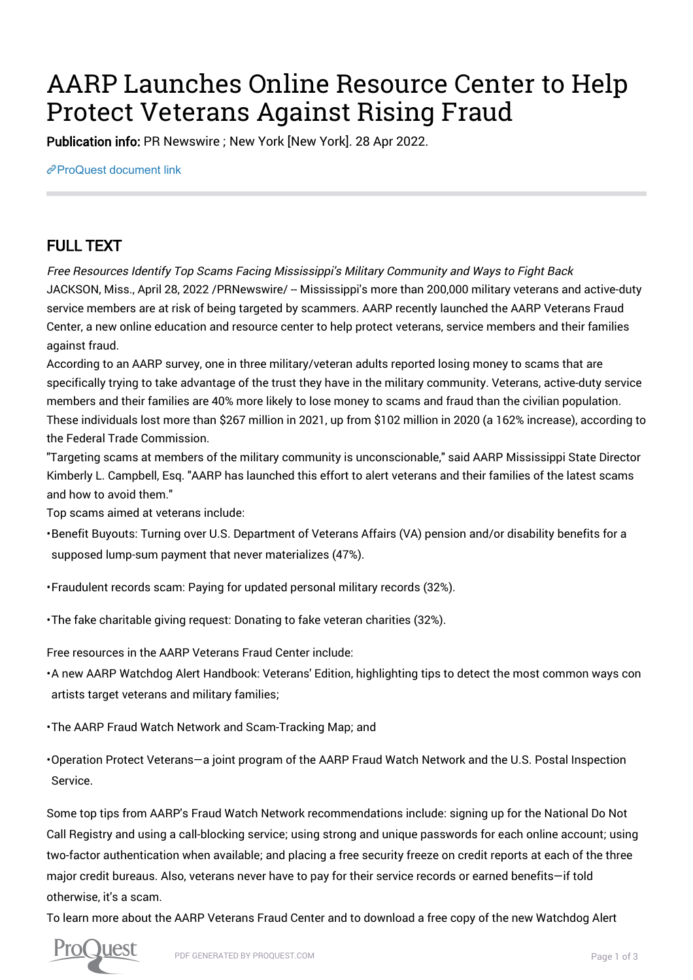# AARP Launches Online Resource Center to Help Protect Veterans Against Rising Fraud

Publication info: PR Newswire ; New York [New York]. 28 Apr 2022.

[ProQuest document link](https://www.proquest.com/wire-feeds/aarp-launches-online-resource-center-help-protect/docview/2656332090/se-2?accountid=44910)

## FULL TEXT

Free Resources Identify Top Scams Facing Mississippi's Military Community and Ways to Fight Back JACKSON, Miss., April 28, 2022 /PRNewswire/ -- Mississippi's more than 200,000 military veterans and active-duty service members are at risk of being targeted by scammers. AARP recently launched the AARP Veterans Fraud Center, a new online education and resource center to help protect veterans, service members and their families against fraud.

According to an AARP survey, one in three military/veteran adults reported losing money to scams that are specifically trying to take advantage of the trust they have in the military community. Veterans, active-duty service members and their families are 40% more likely to lose money to scams and fraud than the civilian population. These individuals lost more than \$267 million in 2021, up from \$102 million in 2020 (a 162% increase), according to the Federal Trade Commission.

"Targeting scams at members of the military community is unconscionable," said AARP Mississippi State Director Kimberly L. Campbell, Esq. "AARP has launched this effort to alert veterans and their families of the latest scams and how to avoid them."

Top scams aimed at veterans include:

• Benefit Buyouts: Turning over U.S. Department of Veterans Affairs (VA) pension and/or disability benefits for a supposed lump-sum payment that never materializes (47%).

• Fraudulent records scam: Paying for updated personal military records (32%).

• The fake charitable giving request: Donating to fake veteran charities (32%).

Free resources in the AARP Veterans Fraud Center include:

• A new AARP Watchdog Alert Handbook: Veterans' Edition, highlighting tips to detect the most common ways con artists target veterans and military families;

• The AARP Fraud Watch Network and Scam-Tracking Map; and

• Operation Protect Veterans—a joint program of the AARP Fraud Watch Network and the U.S. Postal Inspection Service.

Some top tips from AARP's Fraud Watch Network recommendations include: signing up for the National Do Not Call Registry and using a call-blocking service; using strong and unique passwords for each online account; using two-factor authentication when available; and placing a free security freeze on credit reports at each of the three major credit bureaus. Also, veterans never have to pay for their service records or earned benefits—if told otherwise, it's a scam.

To learn more about the AARP Veterans Fraud Center and to download a free copy of the new Watchdog Alert

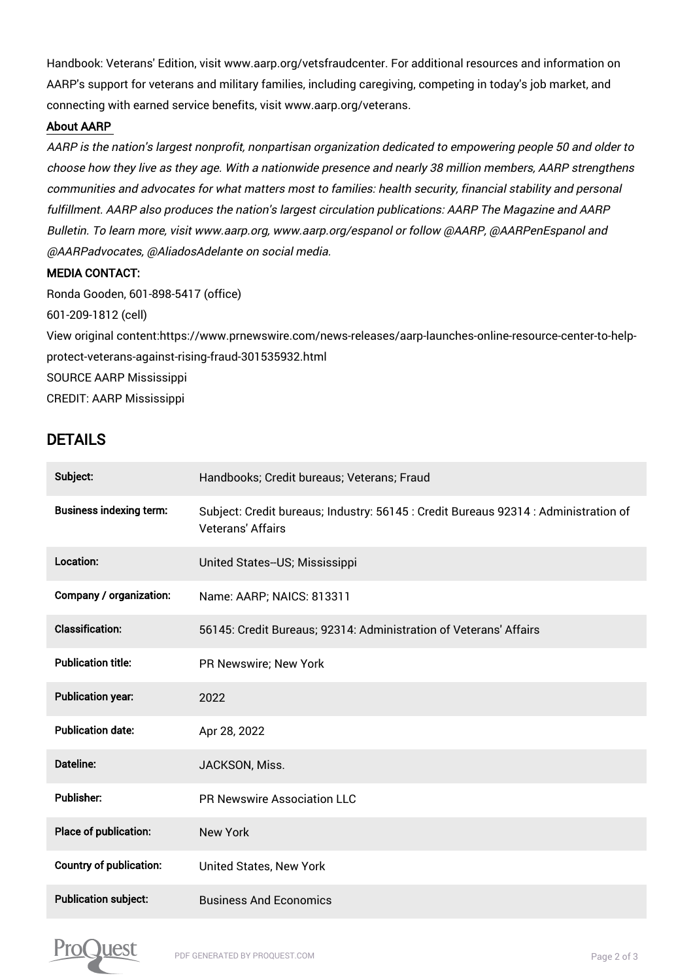Handbook: Veterans' Edition, visit www.aarp.org/vetsfraudcenter. For additional resources and information on AARP's support for veterans and military families, including caregiving, competing in today's job market, and connecting with earned service benefits, visit www.aarp.org/veterans.

#### About AARP

AARP is the nation's largest nonprofit, nonpartisan organization dedicated to empowering people 50 and older to choose how they live as they age. With a nationwide presence and nearly 38 million members, AARP strengthens communities and advocates for what matters most to families: health security, financial stability and personal fulfillment. AARP also produces the nation's largest circulation publications: AARP The Magazine and AARP Bulletin. To learn more, visit www.aarp.org, www.aarp.org/espanol or follow @AARP, @AARPenEspanol and @AARPadvocates, @AliadosAdelante on social media.

#### MEDIA CONTACT:

Ronda Gooden, 601-898-5417 (office) 601-209-1812 (cell) View original content:https://www.prnewswire.com/news-releases/aarp-launches-online-resource-center-to-helpprotect-veterans-against-rising-fraud-301535932.html SOURCE AARP Mississippi CREDIT: AARP Mississippi

### DETAILS

| Subject:                       | Handbooks; Credit bureaus; Veterans; Fraud                                                                      |
|--------------------------------|-----------------------------------------------------------------------------------------------------------------|
| <b>Business indexing term:</b> | Subject: Credit bureaus; Industry: 56145 : Credit Bureaus 92314 : Administration of<br><b>Veterans' Affairs</b> |
| Location:                      | United States--US; Mississippi                                                                                  |
| Company / organization:        | Name: AARP; NAICS: 813311                                                                                       |
| <b>Classification:</b>         | 56145: Credit Bureaus; 92314: Administration of Veterans' Affairs                                               |
| <b>Publication title:</b>      | PR Newswire; New York                                                                                           |
| <b>Publication year:</b>       | 2022                                                                                                            |
| <b>Publication date:</b>       | Apr 28, 2022                                                                                                    |
| Dateline:                      | JACKSON, Miss.                                                                                                  |
| <b>Publisher:</b>              | PR Newswire Association LLC                                                                                     |
| Place of publication:          | <b>New York</b>                                                                                                 |
| <b>Country of publication:</b> | United States, New York                                                                                         |
| <b>Publication subject:</b>    | <b>Business And Economics</b>                                                                                   |